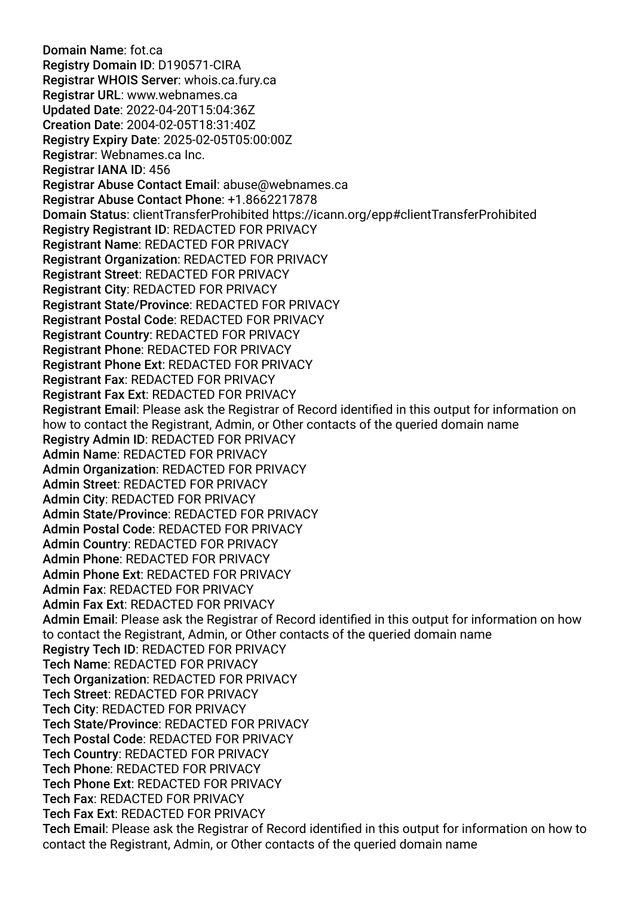Domain Name: fot.ca Registry Domain ID: D190571-CIRA Registrar WHOIS Server: whois.ca.fury.ca Registrar URL: www.webnames.ca Updated Date: 2022-04-20T15:04:36Z Creation Date: 2004-02-05T18:31:40Z Registry Expiry Date: 2025-02-05T05:00:00Z Registrar: Webnames.ca Inc. Registrar IANA ID: 456 Registrar Abuse Contact Email: abuse@webnames.ca Registrar Abuse Contact Phone: +1.8662217878 Domain Status: clientTransferProhibited https://icann.org/epp#clientTransferProhibited Registry Registrant ID: REDACTED FOR PRIVACY Registrant Name: REDACTED FOR PRIVACY Registrant Organization: REDACTED FOR PRIVACY Registrant Street: REDACTED FOR PRIVACY Registrant City: REDACTED FOR PRIVACY Registrant State/Province: REDACTED FOR PRIVACY Registrant Postal Code: REDACTED FOR PRIVACY Registrant Country: REDACTED FOR PRIVACY Registrant Phone: REDACTED FOR PRIVACY Registrant Phone Ext: REDACTED FOR PRIVACY Registrant Fax: REDACTED FOR PRIVACY Registrant Fax Ext: REDACTED FOR PRIVACY Registrant Email: Please ask the Registrar of Record identifed in this output for information on how to contact the Registrant, Admin, or Other contacts of the queried domain name Registry Admin ID: REDACTED FOR PRIVACY Admin Name: REDACTED FOR PRIVACY Admin Organization: REDACTED FOR PRIVACY Admin Street: REDACTED FOR PRIVACY Admin City: REDACTED FOR PRIVACY Admin State/Province: REDACTED FOR PRIVACY Admin Postal Code: REDACTED FOR PRIVACY Admin Country: REDACTED FOR PRIVACY Admin Phone: REDACTED FOR PRIVACY Admin Phone Ext: REDACTED FOR PRIVACY Admin Fax: REDACTED FOR PRIVACY Admin Fax Ext: REDACTED FOR PRIVACY Admin Email: Please ask the Registrar of Record identifed in this output for information on how to contact the Registrant, Admin, or Other contacts of the queried domain name Registry Tech ID: REDACTED FOR PRIVACY Tech Name: REDACTED FOR PRIVACY Tech Organization: REDACTED FOR PRIVACY Tech Street: REDACTED FOR PRIVACY Tech City: REDACTED FOR PRIVACY Tech State/Province: REDACTED FOR PRIVACY Tech Postal Code: REDACTED FOR PRIVACY Tech Country: REDACTED FOR PRIVACY Tech Phone: REDACTED FOR PRIVACY Tech Phone Ext: REDACTED FOR PRIVACY Tech Fax: REDACTED FOR PRIVACY Tech Fax Ext: REDACTED FOR PRIVACY Tech Email: Please ask the Registrar of Record identifed in this output for information on how to contact the Registrant, Admin, or Other contacts of the queried domain name